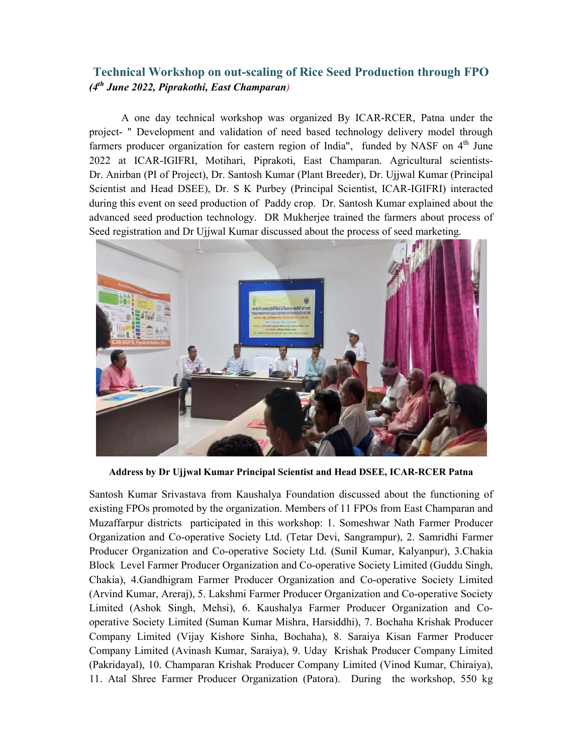## **Technical Workshop on out-scaling of Rice Seed Production through FPO**  *(4th June 2022, Piprakothi, East Champaran)*

 A one day technical workshop was organized By ICAR-RCER, Patna under the project- " Development and validation of need based technology delivery model through farmers producer organization for eastern region of India", funded by NASF on  $4<sup>th</sup>$  June 2022 at ICAR-IGIFRI, Motihari, Piprakoti, East Champaran. Agricultural scientists-Dr. Anirban (PI of Project), Dr. Santosh Kumar (Plant Breeder), Dr. Ujjwal Kumar (Principal Scientist and Head DSEE), Dr. S K Purbey (Principal Scientist, ICAR-IGIFRI) interacted during this event on seed production of Paddy crop. Dr. Santosh Kumar explained about the advanced seed production technology. DR Mukherjee trained the farmers about process of Seed registration and Dr Ujjwal Kumar discussed about the process of seed marketing.



**Address by Dr Ujjwal Kumar Principal Scientist and Head DSEE, ICAR-RCER Patna** 

Santosh Kumar Srivastava from Kaushalya Foundation discussed about the functioning of existing FPOs promoted by the organization. Members of 11 FPOs from East Champaran and Muzaffarpur districts participated in this workshop: 1. Someshwar Nath Farmer Producer Organization and Co-operative Society Ltd. (Tetar Devi, Sangrampur), 2. Samridhi Farmer Producer Organization and Co-operative Society Ltd. (Sunil Kumar, Kalyanpur), 3.Chakia Block Level Farmer Producer Organization and Co-operative Society Limited (Guddu Singh, Chakia), 4.Gandhigram Farmer Producer Organization and Co-operative Society Limited (Arvind Kumar, Areraj), 5. Lakshmi Farmer Producer Organization and Co-operative Society Limited (Ashok Singh, Mehsi), 6. Kaushalya Farmer Producer Organization and Cooperative Society Limited (Suman Kumar Mishra, Harsiddhi), 7. Bochaha Krishak Producer Company Limited (Vijay Kishore Sinha, Bochaha), 8. Saraiya Kisan Farmer Producer Company Limited (Avinash Kumar, Saraiya), 9. Uday Krishak Producer Company Limited (Pakridayal), 10. Champaran Krishak Producer Company Limited (Vinod Kumar, Chiraiya), 11. Atal Shree Farmer Producer Organization (Patora). During the workshop, 550 kg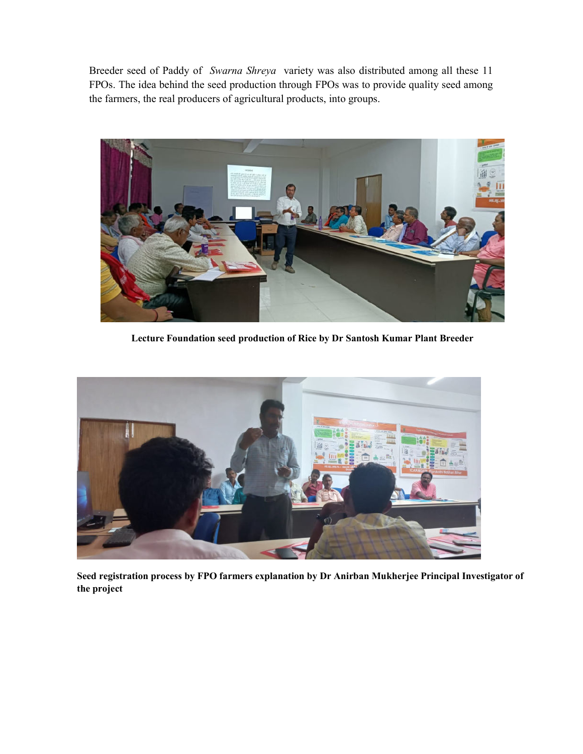Breeder seed of Paddy of *Swarna Shreya* variety was also distributed among all these 11 FPOs. The idea behind the seed production through FPOs was to provide quality seed among the farmers, the real producers of agricultural products, into groups.



**Lecture Foundation seed production of Rice by Dr Santosh Kumar Plant Breeder** 



**Seed registration process by FPO farmers explanation by Dr Anirban Mukherjee Principal Investigator of the project**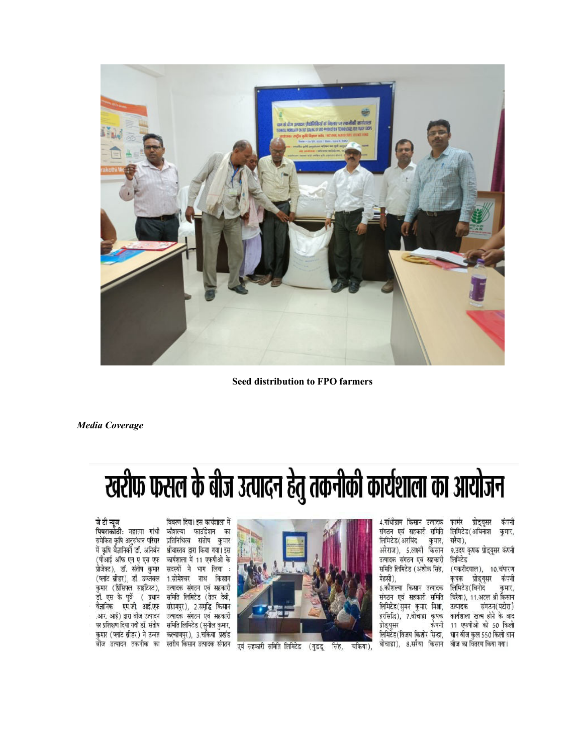

**Seed distribution to FPO farmers** 

**Media Coverage** 

## खरीफ फसल के बीज उत्पादन हेतु तकनीकी कार्यशाला का आयोजन

## जे टी न्यूज

पिपराकोठी: महात्मा गांधी कौशल्या फाउंडेशन का समेकित कृषि अनुसंधान परिसर प्रतिनिधित्व संतोष कुमार में कृषि वैज्ञानिकों डॉ. अनिबंन श्रीवास्तव द्वारा किया गया। इस (पीआई ऑफ एन ए एस एफ कार्यशाला में 11 एफपीओ के प्रोजेक्ट), डॉ. संतोष कुमार सदस्यों ने भाग लिया : (प्लांट ब्रीडर), डॉ. उज्जवल 1.सोमेश्वर नाथ किसान कुमार (प्रिंसिपल साइंटिस्ट), उत्पादक संगठन एवं सहकारी डॉ. एस के पूर्वे ( प्रधान समिति लिमिटेड (तेतर देवी, वैज्ञानिक एम.जी. आई.एफ संग्रामपुर), 2.समृद्धि किसान .आर. आई) द्वारा बीज उत्पादन - उत्पादक संगठन एवं सहकारी पर प्रशिक्षण दिया गयो डॉ. संतोष समिति लिमिटेड (सुनील कुमार, कुमार (प्लांट ब्रीडर) ने उन्नत कल्याणपुर), 3.चकिया प्रखंड बीज उत्पादन तकनीक का स्तरीय किसान उत्पादक संगठन

विवरण दिया। इस कार्यशाला में



एवं सहकारी समिति लिमिटेड (गुडडू सिंह, चकिया). 4.गांधीग्राम किसान उत्पादक संगठन एवं सहकारी समिति लिमिटेड (अरविंद कुमार, अरेराज), 5.लक्ष्मी किसान उत्पादक संगठन एवं सहकारी समिति लिमिटेड (अशोक सिंह, मेहसी). 6.कौशल्या किसान उत्पादक संगठन एवं सहकारी समिति लिमिटेड(सुमन कुमार मिश्रा, हरसिद्धि), 7.बोचाहा कृषक कंपनी प्रोड्युसर लिमिटेड(विजय किशोर सिन्हा, बोचाहा), 8.सरैया किसान बीज का वितरण किया गया।

फार्मर प्रोड्यूसर कंपनी लिमिटेड (अविनाश कुमार, सरैया),

9.उदय कृषक प्रोड्यूसर कंपनी लिमिटेड

(पकरीदयाल), 10.चंपारण प्रोड्यूसर कंपनी कषक लिमिटेड ( विनोद कुमार, चिरैया), 11.अटल श्री किसान उत्पादक संगठन(पटोरा) कार्यशाला खत्म होने के बाद 11 एफपीओ को 50 किलो धान बीज कुल 550 किलो धान